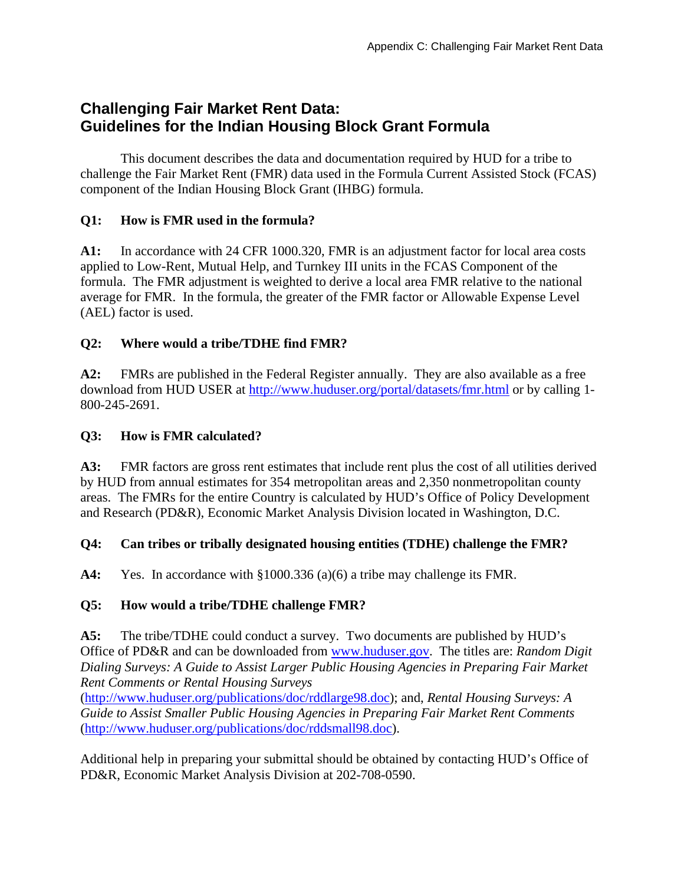# **Challenging Fair Market Rent Data: Guidelines for the Indian Housing Block Grant Formula**

This document describes the data and documentation required by HUD for a tribe to challenge the Fair Market Rent (FMR) data used in the Formula Current Assisted Stock (FCAS) component of the Indian Housing Block Grant (IHBG) formula.

### **Q1: How is FMR used in the formula?**

**A1:** In accordance with 24 CFR 1000.320, FMR is an adjustment factor for local area costs applied to Low-Rent, Mutual Help, and Turnkey III units in the FCAS Component of the formula. The FMR adjustment is weighted to derive a local area FMR relative to the national average for FMR. In the formula, the greater of the FMR factor or Allowable Expense Level (AEL) factor is used.

# **Q2: Where would a tribe/TDHE find FMR?**

**A2:** FMRs are published in the Federal Register annually. They are also available as a free download from HUD USER at http://www.huduser.org/portal/datasets/fmr.html or by calling 1- 800-245-2691.

### **Q3: How is FMR calculated?**

**A3:** FMR factors are gross rent estimates that include rent plus the cost of all utilities derived by HUD from annual estimates for 354 metropolitan areas and 2,350 nonmetropolitan county areas. The FMRs for the entire Country is calculated by HUD's Office of Policy Development and Research (PD&R), Economic Market Analysis Division located in Washington, D.C.

#### **Q4: Can tribes or tribally designated housing entities (TDHE) challenge the FMR?**

**A4:** Yes. In accordance with §1000.336 (a)(6) a tribe may challenge its FMR.

# **Q5: How would a tribe/TDHE challenge FMR?**

**A5:** The tribe/TDHE could conduct a survey. Two documents are published by HUD's Office of PD&R and can be downloaded from www.huduser.gov. The titles are: *Random Digit Dialing Surveys: A Guide to Assist Larger Public Housing Agencies in Preparing Fair Market Rent Comments or Rental Housing Surveys* 

(http://www.huduser.org/publications/doc/rddlarge98.doc); and, *Rental Housing Surveys: A Guide to Assist Smaller Public Housing Agencies in Preparing Fair Market Rent Comments*  (http://www.huduser.org/publications/doc/rddsmall98.doc).

Additional help in preparing your submittal should be obtained by contacting HUD's Office of PD&R, Economic Market Analysis Division at 202-708-0590.